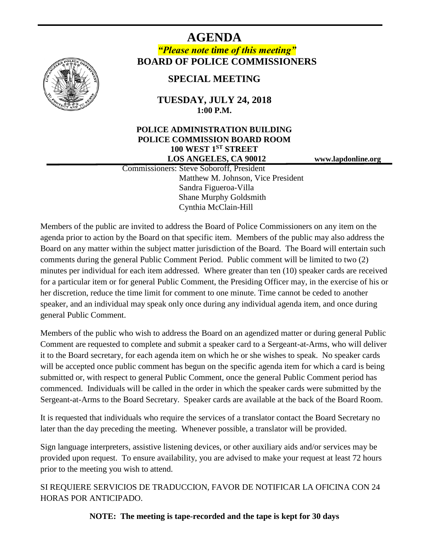

# **AGENDA** *"Please note time of this meeting"* **BOARD OF POLICE COMMISSIONERS**

# **SPECIAL MEETING**

### **TUESDAY, JULY 24, 2018 1:00 P.M.**

#### **POLICE ADMINISTRATION BUILDING POLICE COMMISSION BOARD ROOM 100 WEST 1ST STREET LOS ANGELES, CA 90012 www.lapdonline.org**

 Commissioners: Steve Soboroff, President Matthew M. Johnson, Vice President Sandra Figueroa-Villa Shane Murphy Goldsmith Cynthia McClain-Hill

Members of the public are invited to address the Board of Police Commissioners on any item on the agenda prior to action by the Board on that specific item. Members of the public may also address the Board on any matter within the subject matter jurisdiction of the Board. The Board will entertain such comments during the general Public Comment Period. Public comment will be limited to two (2) minutes per individual for each item addressed. Where greater than ten (10) speaker cards are received for a particular item or for general Public Comment, the Presiding Officer may, in the exercise of his or her discretion, reduce the time limit for comment to one minute. Time cannot be ceded to another speaker, and an individual may speak only once during any individual agenda item, and once during general Public Comment.

Members of the public who wish to address the Board on an agendized matter or during general Public Comment are requested to complete and submit a speaker card to a Sergeant-at-Arms, who will deliver it to the Board secretary, for each agenda item on which he or she wishes to speak. No speaker cards will be accepted once public comment has begun on the specific agenda item for which a card is being submitted or, with respect to general Public Comment, once the general Public Comment period has commenced. Individuals will be called in the order in which the speaker cards were submitted by the Sergeant-at-Arms to the Board Secretary. Speaker cards are available at the back of the Board Room.

It is requested that individuals who require the services of a translator contact the Board Secretary no later than the day preceding the meeting. Whenever possible, a translator will be provided.

Sign language interpreters, assistive listening devices, or other auxiliary aids and/or services may be provided upon request. To ensure availability, you are advised to make your request at least 72 hours prior to the meeting you wish to attend.

SI REQUIERE SERVICIOS DE TRADUCCION, FAVOR DE NOTIFICAR LA OFICINA CON 24 HORAS POR ANTICIPADO.

**NOTE: The meeting is tape-recorded and the tape is kept for 30 days**